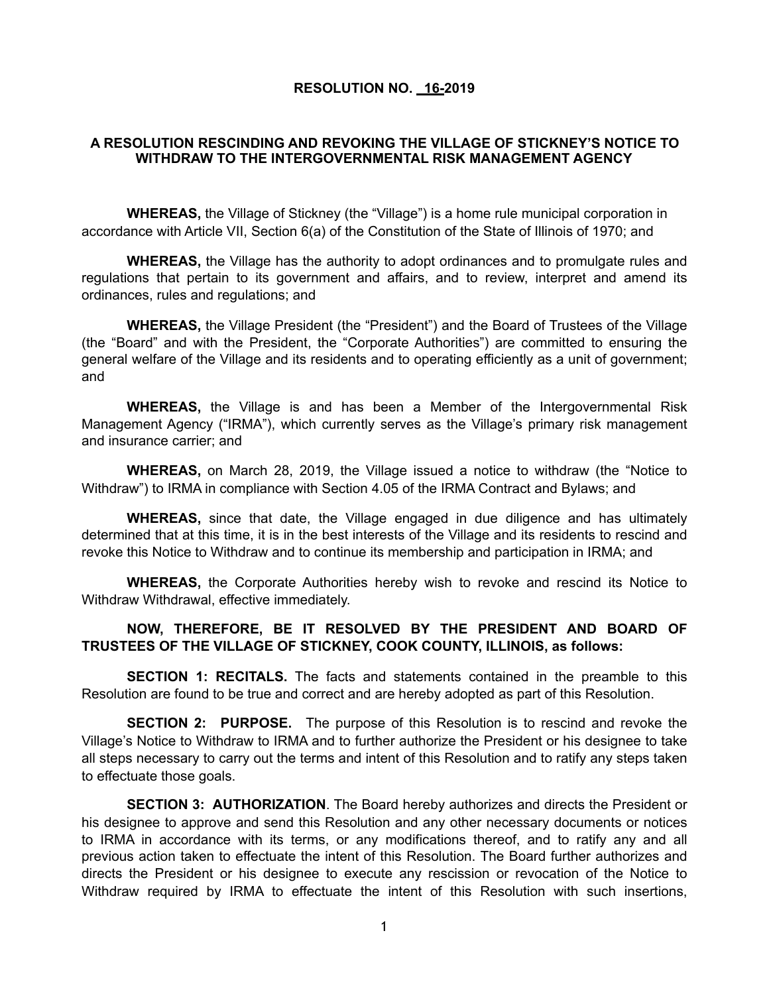## **RESOLUTION NO. 16-2019**

## **A RESOLUTION RESCINDING AND REVOKING THE VILLAGE OF STICKNEY'S NOTICE TO WITHDRAW TO THE INTERGOVERNMENTAL RISK MANAGEMENT AGENCY**

**WHEREAS,** the Village of Stickney (the "Village") is a home rule municipal corporation in accordance with Article VII, Section 6(a) of the Constitution of the State of Illinois of 1970; and

**WHEREAS,** the Village has the authority to adopt ordinances and to promulgate rules and regulations that pertain to its government and affairs, and to review, interpret and amend its ordinances, rules and regulations; and

**WHEREAS,** the Village President (the "President") and the Board of Trustees of the Village (the "Board" and with the President, the "Corporate Authorities") are committed to ensuring the general welfare of the Village and its residents and to operating efficiently as a unit of government; and

**WHEREAS,** the Village is and has been a Member of the Intergovernmental Risk Management Agency ("IRMA"), which currently serves as the Village's primary risk management and insurance carrier; and

**WHEREAS,** on March 28, 2019, the Village issued a notice to withdraw (the "Notice to Withdraw") to IRMA in compliance with Section 4.05 of the IRMA Contract and Bylaws; and

**WHEREAS,** since that date, the Village engaged in due diligence and has ultimately determined that at this time, it is in the best interests of the Village and its residents to rescind and revoke this Notice to Withdraw and to continue its membership and participation in IRMA; and

**WHEREAS,** the Corporate Authorities hereby wish to revoke and rescind its Notice to Withdraw Withdrawal, effective immediately.

## **NOW, THEREFORE, BE IT RESOLVED BY THE PRESIDENT AND BOARD OF TRUSTEES OF THE VILLAGE OF STICKNEY, COOK COUNTY, ILLINOIS, as follows:**

**SECTION 1: RECITALS.** The facts and statements contained in the preamble to this Resolution are found to be true and correct and are hereby adopted as part of this Resolution.

**SECTION 2: PURPOSE.** The purpose of this Resolution is to rescind and revoke the Village's Notice to Withdraw to IRMA and to further authorize the President or his designee to take all steps necessary to carry out the terms and intent of this Resolution and to ratify any steps taken to effectuate those goals.

**SECTION 3: AUTHORIZATION**. The Board hereby authorizes and directs the President or his designee to approve and send this Resolution and any other necessary documents or notices to IRMA in accordance with its terms, or any modifications thereof, and to ratify any and all previous action taken to effectuate the intent of this Resolution. The Board further authorizes and directs the President or his designee to execute any rescission or revocation of the Notice to Withdraw required by IRMA to effectuate the intent of this Resolution with such insertions,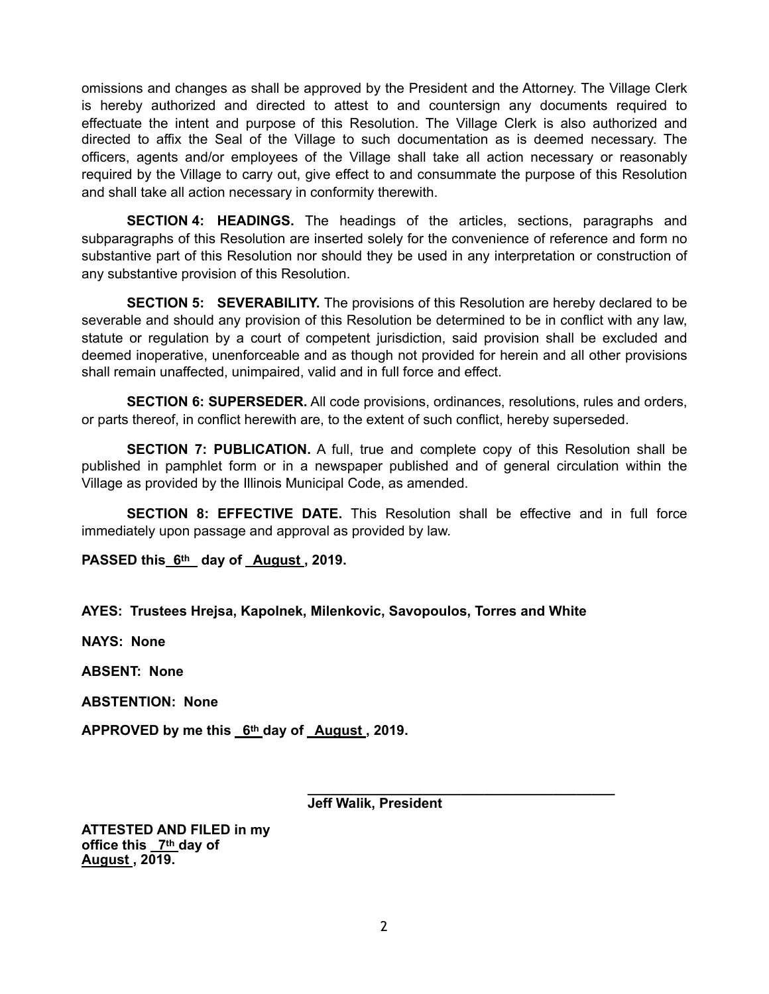omissions and changes as shall be approved by the President and the Attorney. The Village Clerk is hereby authorized and directed to attest to and countersign any documents required to effectuate the intent and purpose of this Resolution. The Village Clerk is also authorized and directed to affix the Seal of the Village to such documentation as is deemed necessary. The officers, agents and/or employees of the Village shall take all action necessary or reasonably required by the Village to carry out, give effect to and consummate the purpose of this Resolution and shall take all action necessary in conformity therewith.

**SECTION 4: HEADINGS.** The headings of the articles, sections, paragraphs and subparagraphs of this Resolution are inserted solely for the convenience of reference and form no substantive part of this Resolution nor should they be used in any interpretation or construction of any substantive provision of this Resolution.

**SECTION 5: SEVERABILITY.** The provisions of this Resolution are hereby declared to be severable and should any provision of this Resolution be determined to be in conflict with any law, statute or regulation by a court of competent jurisdiction, said provision shall be excluded and deemed inoperative, unenforceable and as though not provided for herein and all other provisions shall remain unaffected, unimpaired, valid and in full force and effect.

**SECTION 6: SUPERSEDER.** All code provisions, ordinances, resolutions, rules and orders, or parts thereof, in conflict herewith are, to the extent of such conflict, hereby superseded.

**SECTION 7: PUBLICATION.** A full, true and complete copy of this Resolution shall be published in pamphlet form or in a newspaper published and of general circulation within the Village as provided by the Illinois Municipal Code, as amended.

**SECTION 8: EFFECTIVE DATE.** This Resolution shall be effective and in full force immediately upon passage and approval as provided by law.

**PASSED this 6th day of August , 2019.**

**AYES: Trustees Hrejsa, Kapolnek, Milenkovic, Savopoulos, Torres and White** 

**NAYS: None** 

**ABSENT: None** 

**ABSTENTION: None** 

APPROVED by me this 6th day of August, 2019.

**Jeff Walik, President** 

**\_\_\_\_\_\_\_\_\_\_\_\_\_\_\_\_\_\_\_\_\_\_\_\_\_\_\_\_\_\_\_\_\_\_\_\_\_\_\_\_** 

**ATTESTED AND FILED in my office this 7th day of August , 2019.**